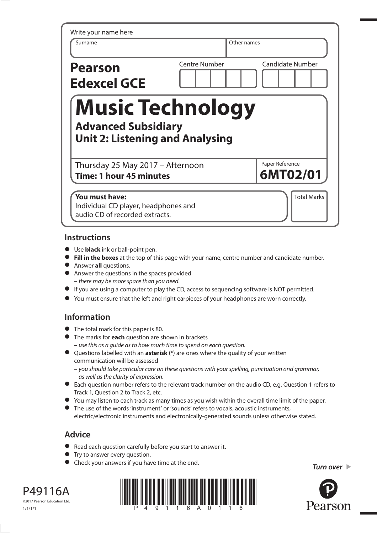| Surname                                                                                         |                      |                             |
|-------------------------------------------------------------------------------------------------|----------------------|-----------------------------|
|                                                                                                 | Other names          |                             |
| <b>Pearson</b><br><b>Edexcel GCE</b>                                                            | <b>Centre Number</b> | <b>Candidate Number</b>     |
| <b>Music Technology</b><br><b>Advanced Subsidiary</b><br><b>Unit 2: Listening and Analysing</b> |                      |                             |
|                                                                                                 |                      |                             |
| Thursday 25 May 2017 - Afternoon<br><b>Time: 1 hour 45 minutes</b>                              |                      | Paper Reference<br>6MT02/01 |

### **Instructions**

- Use **black** ink or ball-point pen.
- **•** Use **black** ink or ball-point pen.<br> **Fill in the boxes** at the top of this page with your name, centre number and candidate number. **• Fill in the boxes** at the **Answer all questions.**
- 
- **•** Answer **all** questions.<br>• Answer the questions in the spaces provided – there may be more space than you need.
- If you are using a computer to play the CD, access to sequencing software is NOT permitted.
- You must ensure that the left and right earpieces of your headphones are worn correctly.

# **Information**

- The total mark for this paper is 80.
- The marks for **each** question are shown in brackets – use this as a guide as to how much time to spend on each question.
- Questions labelled with an **asterisk** (**\***) are ones where the quality of your written communication will be assessed
	- you should take particular care on these questions with your spelling, punctuation and grammar, as well as the clarity of expression.
- Each question number refers to the relevant track number on the audio CD, e.g. Question 1 refers to Track 1, Question 2 to Track 2, etc. **• Track 1, Question 2 to Track 2, etc.**<br>● You may listen to each track as many times as you wish within the overall time limit of the paper.
- 
- You may listen to each track as many times as you wish within the overall time limit<br>• The use of the words 'instrument' or 'sounds' refers to vocals, acoustic instruments, electric/electronic instruments and electronically-generated sounds unless otherwise stated.

# **Advice**

- Read each question carefully before you start to answer it. **•** Read each question carefully<br>• Try to answer every question.
- 
- **•** Try to answer every question.<br>• Check your answers if you have time at the end.

**Turn over** 





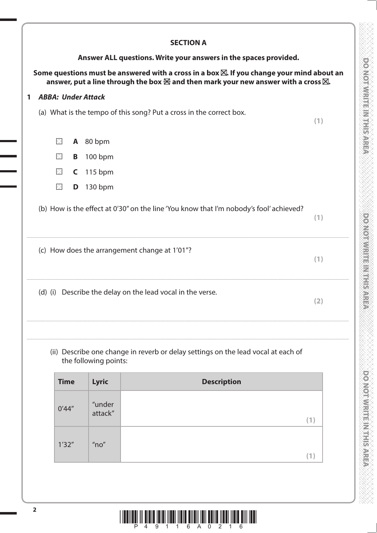#### **Answer ALL questions. Write your answers in the spaces provided.**

Some questions must be answered with a cross in a box  $\boxtimes$ . If you change your mind about an answer, put a line through the box  $\boxtimes$  and then mark your new answer with a cross  $\boxtimes$ .

#### **1 ABBA: Under Attack**

(a) What is the tempo of this song? Put a cross in the correct box.

**(1)**

**DONOMICATION FRAMES** 

**DOOMORATION STATES IN STATES** 

**DONOI WRITEING HIS AREA** 

- **A** 80 bpm
- **B** 100 bpm **C** 115 bpm
- **D** 130 bpm

(b) How is the effect at 0'30" on the line 'You know that I'm nobody's fool' achieved?

....................................................................................................................................................................................................................................................................................

....................................................................................................................................................................................................................................................................................

....................................................................................................................................................................................................................................................................................

....................................................................................................................................................................................................................................................................................

**(1)**

**(1)**

**(2)**

- (c) How does the arrangement change at 1'01"?
- (d) (i) Describe the delay on the lead vocal in the verse.
	- (ii) Describe one change in reverb or delay settings on the lead vocal at each of the following points:

| <b>Time</b> | <b>Lyric</b>      | <b>Description</b> |
|-------------|-------------------|--------------------|
| 0'44''      | "under<br>attack" |                    |
| 1'32''      | "no"              |                    |

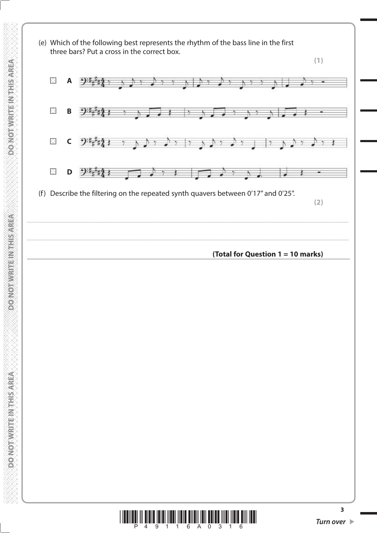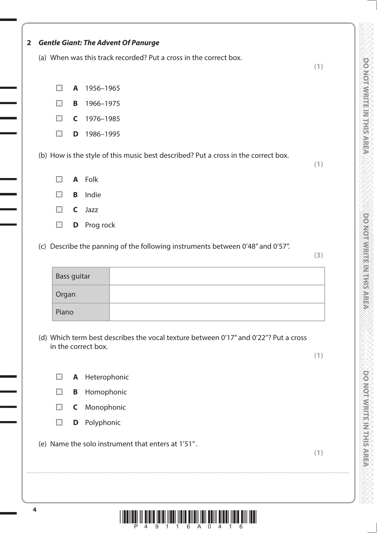|             |              |                     | <b>Gentle Giant: The Advent Of Panurge</b>                                           |     |
|-------------|--------------|---------------------|--------------------------------------------------------------------------------------|-----|
|             |              |                     | (a) When was this track recorded? Put a cross in the correct box.                    |     |
|             |              |                     |                                                                                      | (1) |
| X           | A            | 1956-1965           |                                                                                      |     |
| $\boxtimes$ | B            | 1966-1975           |                                                                                      |     |
| $\boxtimes$ | C            | 1976-1985           |                                                                                      |     |
| $\times$    | D            | 1986-1995           |                                                                                      |     |
|             |              |                     | (b) How is the style of this music best described? Put a cross in the correct box.   | (1) |
| X           |              | A Folk              |                                                                                      |     |
| $\times$    | B            | Indie               |                                                                                      |     |
| $\boxtimes$ | $\mathsf{C}$ | Jazz                |                                                                                      |     |
|             |              |                     |                                                                                      |     |
| $\times$    | D            | Prog rock           |                                                                                      |     |
|             |              |                     |                                                                                      |     |
|             |              |                     | (c) Describe the panning of the following instruments between 0'48" and 0'57".       | (3) |
|             | Bass guitar  |                     |                                                                                      |     |
| Organ       |              |                     |                                                                                      |     |
| Piano       |              |                     |                                                                                      |     |
|             |              |                     |                                                                                      |     |
|             |              | in the correct box. | (d) Which term best describes the vocal texture between 0'17" and 0'22"? Put a cross |     |
|             |              |                     |                                                                                      | (1) |
| $\times$    | A            | Heterophonic        |                                                                                      |     |
| $\times$    | B            | Homophonic          |                                                                                      |     |
| $\boxtimes$ | $\mathsf{C}$ | Monophonic          |                                                                                      |     |
| $\boxtimes$ | D            | Polyphonic          |                                                                                      |     |
|             |              |                     | (e) Name the solo instrument that enters at 1'51".                                   |     |

\*P49116A0416\* **<sup>4</sup>**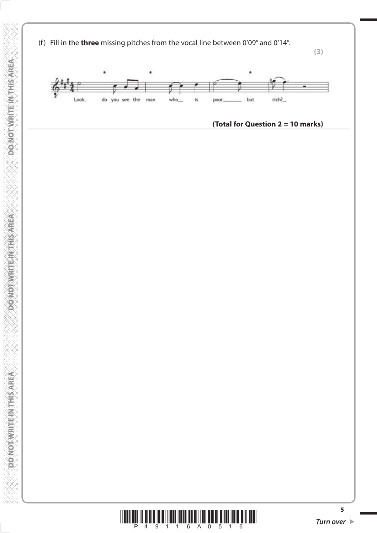

**DO NOT WRITE IN THIS AREA** 

**DO NORWER HEADTHS AREA** 

**DO NOTWARTENT THEAREA**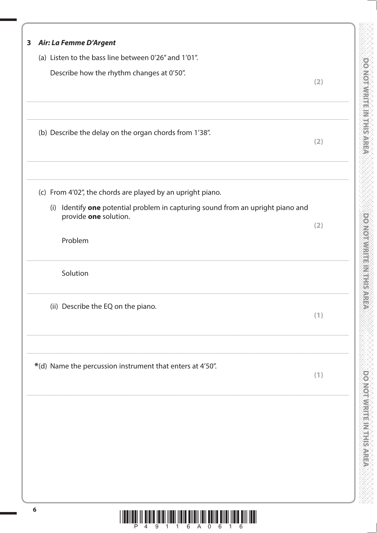| Air: La Femme D'Argent                                                                                      |     |
|-------------------------------------------------------------------------------------------------------------|-----|
| (a) Listen to the bass line between 0'26" and 1'01".                                                        |     |
| Describe how the rhythm changes at 0'50".                                                                   | (2) |
| (b) Describe the delay on the organ chords from 1'38".                                                      | (2) |
| (c) From 4'02", the chords are played by an upright piano.                                                  |     |
| Identify one potential problem in capturing sound from an upright piano and<br>(i)<br>provide one solution. | (2) |
| Problem                                                                                                     |     |
| Solution                                                                                                    |     |
| (ii) Describe the EQ on the piano.                                                                          | (1) |
| *(d) Name the percussion instrument that enters at 4'50".                                                   | (1) |
|                                                                                                             |     |
|                                                                                                             |     |
|                                                                                                             |     |
| 6                                                                                                           |     |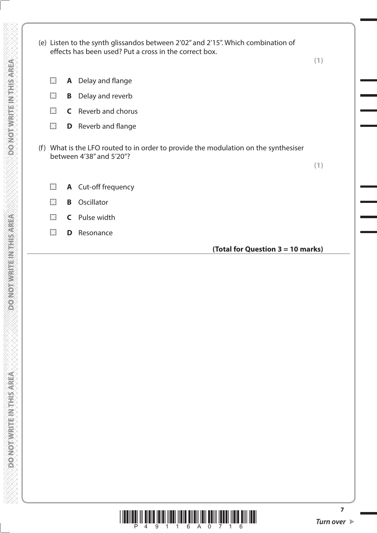- (e) Listen to the synth glissandos between 2'02" and 2'15". Which combination of effects has been used? Put a cross in the correct box. **(1) A** Delay and flange **B** Delay and reverb **C** Reverb and chorus **D** Reverb and flange (f) What is the LFO routed to in order to provide the modulation on the synthesiser between 4'38" and 5'20"? **(1) A** Cut-off frequency  **B** Oscillator **C** Pulse width
	- **D** Resonance

**DO NOT WRITER NATES AREA** 

**DONOT WRITEIN THIS AREA** 

**DO NOT WRITEIN THIS AREA** 

 **(Total for Question 3 = 10 marks)**



**7**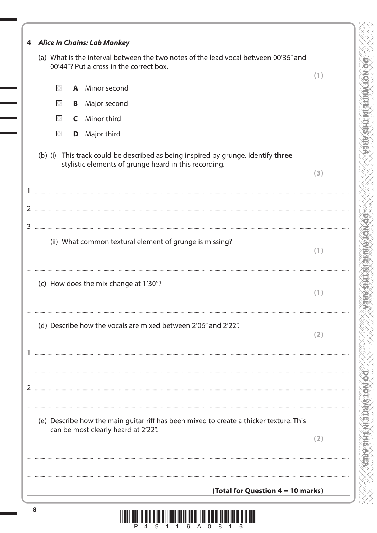| (1)                                      |
|------------------------------------------|
|                                          |
|                                          |
|                                          |
|                                          |
| (3)                                      |
|                                          |
| (1)                                      |
| (1)                                      |
| (2)                                      |
|                                          |
| (2)<br>(Total for Question 4 = 10 marks) |
|                                          |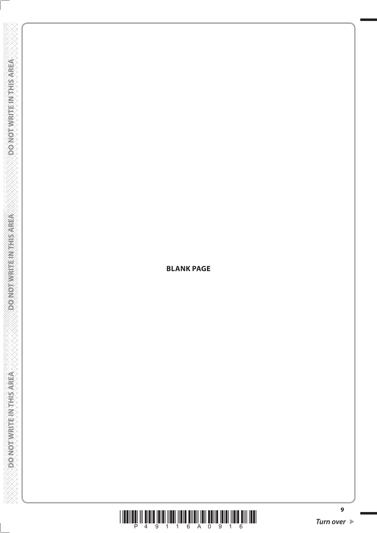

**DO NOT WRITE INTHIS AREA** 

**BLANK PAGE**



**9**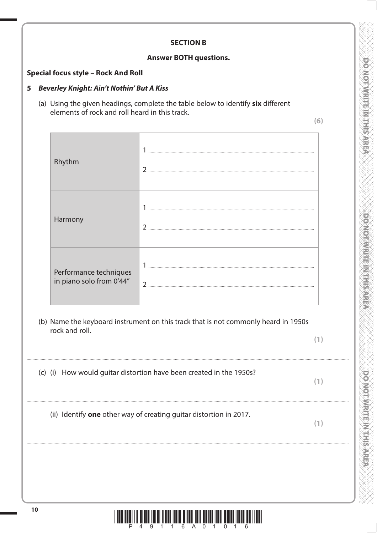# **SECTION B**

### **Answer BOTH questions.**

## **Special focus style - Rock And Roll**

### 5 Beverley Knight: Ain't Nothin' But A Kiss

(a) Using the given headings, complete the table below to identify six different elements of rock and roll heard in this track.

 $(6)$ 

**DOWOTWICTFANT AND MOON** 

**DOMODIAN ENTERNATION** 

**DO NOTWRITE INSTRUMENT** 

| Rhythm                                             | и<br>っ |
|----------------------------------------------------|--------|
| Harmony                                            | っ      |
| Performance techniques<br>in piano solo from 0'44" | и<br>っ |

(b) Name the keyboard instrument on this track that is not commonly heard in 1950s rock and roll.

 $(1)$ 

(c) (i) How would guitar distortion have been created in the 1950s?  $(1)$ (ii) Identify one other way of creating guitar distortion in 2017.  $(1)$ 

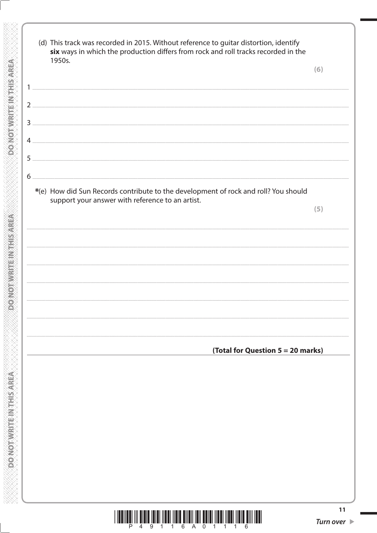(d) This track was recorded in 2015. Without reference to guitar distortion, identify six ways in which the production differs from rock and roll tracks recorded in the 1950s.  $(6)$  $\frac{1}{2}$  . The contract of the contract of the contract of the contract of the contract of the contract of the contract of the contract of the contract of the contract of the contract of the contract of the contract of t  $\overline{2}$  $\overline{\mathbf{3}}$  $\overline{5}$  . The contract of the contract of the contract of the contract of the contract of the contract of the contract of the contract of the contract of the contract of the contract of the contract of the contract of th \*(e) How did Sun Records contribute to the development of rock and roll? You should support your answer with reference to an artist.  $(5)$ (Total for Question 5 = 20 marks)  $11$ 

**PONCORN TERM REPORTED** 

**DO NOT WRITEIN THIS AREA** 

U III OLUD IDIDI IIIDI JIDID RIIDII, IDII RAIDI JIDDI JIDID RIII 6 A 0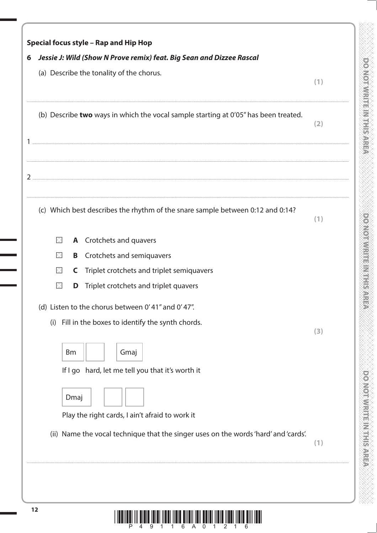| Jessie J: Wild (Show N Prove remix) feat. Big Sean and Dizzee Rascal                |     |  |
|-------------------------------------------------------------------------------------|-----|--|
| (a) Describe the tonality of the chorus.                                            | (1) |  |
| (b) Describe two ways in which the vocal sample starting at 0'05" has been treated. | (2) |  |
| (c) Which best describes the rhythm of the snare sample between 0:12 and 0:14?      | (1) |  |
| <b>A</b> Crotchets and quavers<br>$\bowtie$                                         |     |  |
| <b>B</b> Crotchets and semiquavers<br>X                                             |     |  |
| Triplet crotchets and triplet semiquavers<br>X<br>$\mathsf{C}$                      |     |  |
| X<br>Triplet crotchets and triplet quavers<br>D                                     |     |  |
| (d) Listen to the chorus between 0'41" and 0'47".                                   |     |  |
| Fill in the boxes to identify the synth chords.<br>(i)                              |     |  |
|                                                                                     | (3) |  |
| <b>Bm</b><br>Gmaj                                                                   |     |  |
| If I go hard, let me tell you that it's worth it                                    |     |  |
|                                                                                     |     |  |
| Dmaj                                                                                |     |  |
| Play the right cards, I ain't afraid to work it                                     |     |  |
| (ii) Name the vocal technique that the singer uses on the words 'hard' and 'cards'. | (1) |  |

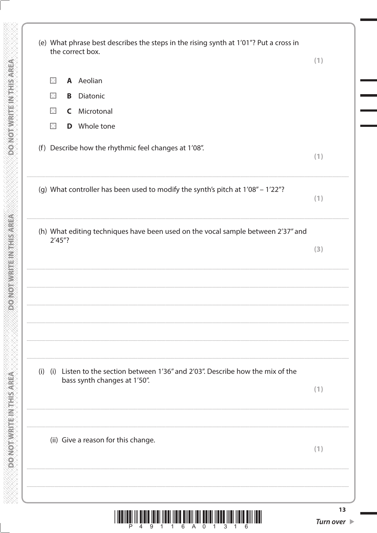| <u> I lan isan ili alam tahun ilan tidak dalam tahun 1999 dapat tahun 1999 dalam tahun 1999.</u>                   | Turn over $\blacktriangleright$ |
|--------------------------------------------------------------------------------------------------------------------|---------------------------------|
|                                                                                                                    | (1)                             |
| (ii) Give a reason for this change.                                                                                |                                 |
| (i) (i) Listen to the section between 1'36" and 2'03". Describe how the mix of the<br>bass synth changes at 1'50". | (1)                             |
|                                                                                                                    |                                 |
|                                                                                                                    |                                 |
| (h) What editing techniques have been used on the vocal sample between 2'37" and<br>2'45''?                        | (3)                             |
| (g) What controller has been used to modify the synth's pitch at 1'08" - 1'22"?                                    | (1)                             |
| (f) Describe how the rhythmic feel changes at 1'08".                                                               | (1)                             |
| <b>D</b> Whole tone<br>$\times$                                                                                    |                                 |
| <b>C</b> Microtonal<br>$\boxtimes$                                                                                 |                                 |
| A Aeolian<br>$\times$<br>Diatonic<br>$\times$<br>B                                                                 |                                 |
|                                                                                                                    |                                 |
| the correct box.                                                                                                   | (1)                             |

**DONOT WRITE INTHIS AREA** 

**PONOTWEITEINTHISMEA** 

**DO NOT WRITE IN THIS AREA** 

**WWW.WWW.WWWWWWWWWWWW**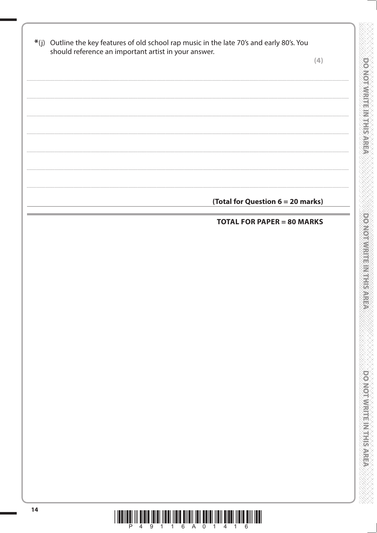| should reference an important artist in your answer. | (4)                               |
|------------------------------------------------------|-----------------------------------|
|                                                      |                                   |
|                                                      |                                   |
|                                                      |                                   |
|                                                      |                                   |
|                                                      |                                   |
|                                                      | (Total for Question 6 = 20 marks) |
|                                                      | <b>TOTAL FOR PAPER = 80 MARKS</b> |
|                                                      |                                   |
|                                                      |                                   |
|                                                      |                                   |
|                                                      |                                   |
|                                                      |                                   |
|                                                      |                                   |
|                                                      |                                   |
|                                                      |                                   |
|                                                      |                                   |
|                                                      |                                   |
|                                                      |                                   |
|                                                      |                                   |

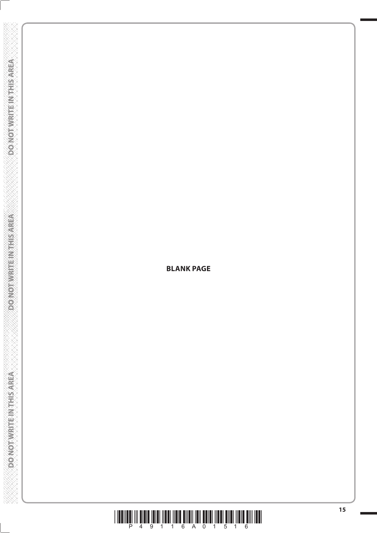

**DO NOT WRITE IN THIS AREA** 

**BLANK PAGE**